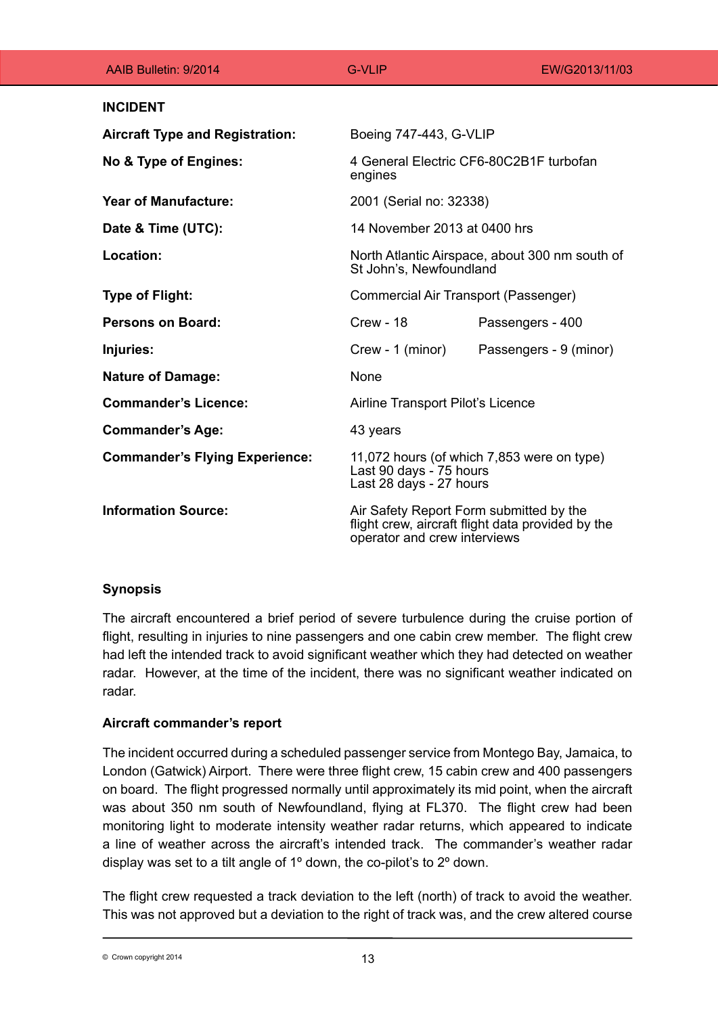| AAIB Bulletin: 9/2014                  | <b>G-VLIP</b>                                                                                                                | EW/G2013/11/03         |
|----------------------------------------|------------------------------------------------------------------------------------------------------------------------------|------------------------|
| <b>INCIDENT</b>                        |                                                                                                                              |                        |
| <b>Aircraft Type and Registration:</b> | Boeing 747-443, G-VLIP                                                                                                       |                        |
| No & Type of Engines:                  | 4 General Electric CF6-80C2B1F turbofan<br>engines                                                                           |                        |
| <b>Year of Manufacture:</b>            | 2001 (Serial no: 32338)                                                                                                      |                        |
| Date & Time (UTC):                     | 14 November 2013 at 0400 hrs                                                                                                 |                        |
| Location:                              | North Atlantic Airspace, about 300 nm south of<br>St John's, Newfoundland                                                    |                        |
| <b>Type of Flight:</b>                 | Commercial Air Transport (Passenger)                                                                                         |                        |
| <b>Persons on Board:</b>               | <b>Crew - 18</b>                                                                                                             | Passengers - 400       |
| Injuries:                              | Crew - 1 (minor)                                                                                                             | Passengers - 9 (minor) |
| <b>Nature of Damage:</b>               | None                                                                                                                         |                        |
| <b>Commander's Licence:</b>            | Airline Transport Pilot's Licence                                                                                            |                        |
| <b>Commander's Age:</b>                | 43 years                                                                                                                     |                        |
| <b>Commander's Flying Experience:</b>  | 11,072 hours (of which 7,853 were on type)<br>Last 90 days - 75 hours<br>Last 28 days - 27 hours                             |                        |
| <b>Information Source:</b>             | Air Safety Report Form submitted by the<br>flight crew, aircraft flight data provided by the<br>operator and crew interviews |                        |

# **Synopsis**

The aircraft encountered a brief period of severe turbulence during the cruise portion of flight, resulting in injuries to nine passengers and one cabin crew member. The flight crew had left the intended track to avoid significant weather which they had detected on weather radar. However, at the time of the incident, there was no significant weather indicated on radar.

# **Aircraft commander's report**

The incident occurred during a scheduled passenger service from Montego Bay, Jamaica, to London (Gatwick) Airport. There were three flight crew, 15 cabin crew and 400 passengers on board. The flight progressed normally until approximately its mid point, when the aircraft was about 350 nm south of Newfoundland, flying at FL370. The flight crew had been monitoring light to moderate intensity weather radar returns, which appeared to indicate a line of weather across the aircraft's intended track. The commander's weather radar display was set to a tilt angle of 1° down, the co-pilot's to 2° down.

The flight crew requested a track deviation to the left (north) of track to avoid the weather. This was not approved but a deviation to the right of track was, and the crew altered course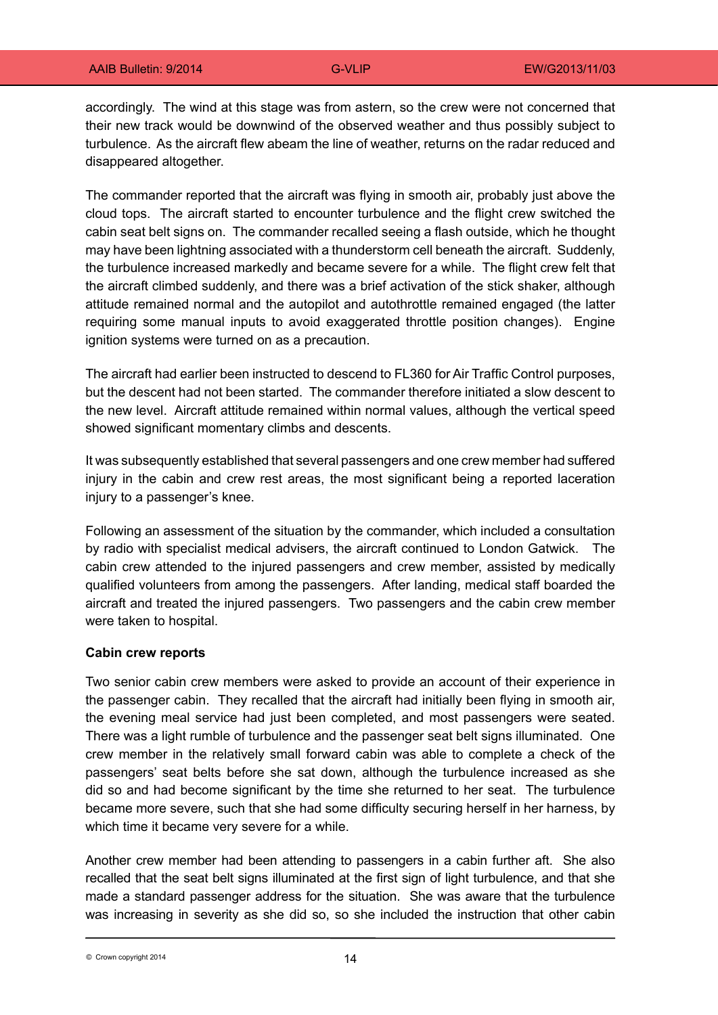accordingly. The wind at this stage was from astern, so the crew were not concerned that their new track would be downwind of the observed weather and thus possibly subject to turbulence. As the aircraft flew abeam the line of weather, returns on the radar reduced and disappeared altogether.

The commander reported that the aircraft was flying in smooth air, probably just above the cloud tops. The aircraft started to encounter turbulence and the flight crew switched the cabin seat belt signs on. The commander recalled seeing a flash outside, which he thought may have been lightning associated with a thunderstorm cell beneath the aircraft. Suddenly, the turbulence increased markedly and became severe for a while. The flight crew felt that the aircraft climbed suddenly, and there was a brief activation of the stick shaker, although attitude remained normal and the autopilot and autothrottle remained engaged (the latter requiring some manual inputs to avoid exaggerated throttle position changes). Engine ignition systems were turned on as a precaution.

The aircraft had earlier been instructed to descend to FL360 for Air Traffic Control purposes, but the descent had not been started. The commander therefore initiated a slow descent to the new level. Aircraft attitude remained within normal values, although the vertical speed showed significant momentary climbs and descents.

It was subsequently established that several passengers and one crew member had suffered injury in the cabin and crew rest areas, the most significant being a reported laceration injury to a passenger's knee.

Following an assessment of the situation by the commander, which included a consultation by radio with specialist medical advisers, the aircraft continued to London Gatwick. The cabin crew attended to the injured passengers and crew member, assisted by medically qualified volunteers from among the passengers. After landing, medical staff boarded the aircraft and treated the injured passengers. Two passengers and the cabin crew member were taken to hospital.

## **Cabin crew reports**

Two senior cabin crew members were asked to provide an account of their experience in the passenger cabin. They recalled that the aircraft had initially been flying in smooth air, the evening meal service had just been completed, and most passengers were seated. There was a light rumble of turbulence and the passenger seat belt signs illuminated. One crew member in the relatively small forward cabin was able to complete a check of the passengers' seat belts before she sat down, although the turbulence increased as she did so and had become significant by the time she returned to her seat. The turbulence became more severe, such that she had some difficulty securing herself in her harness, by which time it became very severe for a while.

Another crew member had been attending to passengers in a cabin further aft. She also recalled that the seat belt signs illuminated at the first sign of light turbulence, and that she made a standard passenger address for the situation. She was aware that the turbulence was increasing in severity as she did so, so she included the instruction that other cabin

14 © Crown copyright 2014